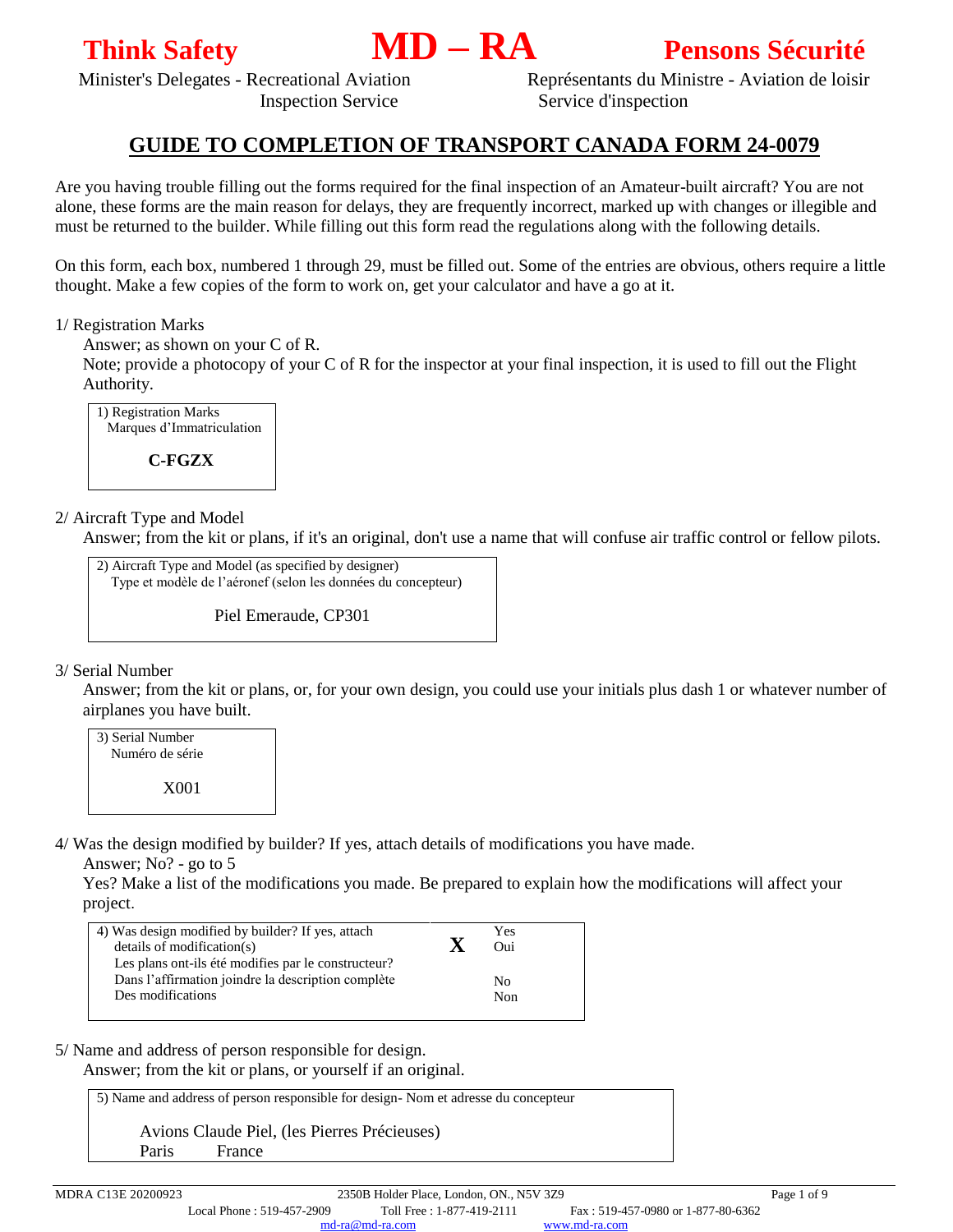

Minister's Delegates - Recreational Aviation Représentants du Ministre - Aviation de loisir Inspection Service Service d'inspection

# **GUIDE TO COMPLETION OF TRANSPORT CANADA FORM 24-0079**

Are you having trouble filling out the forms required for the final inspection of an Amateur-built aircraft? You are not alone, these forms are the main reason for delays, they are frequently incorrect, marked up with changes or illegible and must be returned to the builder. While filling out this form read the regulations along with the following details.

On this form, each box, numbered 1 through 29, must be filled out. Some of the entries are obvious, others require a little thought. Make a few copies of the form to work on, get your calculator and have a go at it.

### 1/ Registration Marks

Answer; as shown on your C of R.

Note; provide a photocopy of your C of R for the inspector at your final inspection, it is used to fill out the Flight Authority.



# 2/ Aircraft Type and Model

Answer; from the kit or plans, if it's an original, don't use a name that will confuse air traffic control or fellow pilots.

2) Aircraft Type and Model (as specified by designer) Type et modèle de l'aéronef (selon les données du concepteur)

Piel Emeraude, CP301

#### 3/ Serial Number

Answer; from the kit or plans, or, for your own design, you could use your initials plus dash 1 or whatever number of airplanes you have built.

3) Serial Number Numéro de série X001

4/ Was the design modified by builder? If yes, attach details of modifications you have made.

Answer; No? - go to 5

Yes? Make a list of the modifications you made. Be prepared to explain how the modifications will affect your project.

| 4) Was design modified by builder? If yes, attach   |   | Yes |  |
|-----------------------------------------------------|---|-----|--|
| details of modification(s)                          | X | Oui |  |
| Les plans ont-ils été modifies par le constructeur? |   |     |  |
| Dans l'affirmation joindre la description complète  |   | Nο  |  |
| Des modifications                                   |   | Non |  |
|                                                     |   |     |  |

5/ Name and address of person responsible for design.

Answer; from the kit or plans, or yourself if an original.

5) Name and address of person responsible for design- Nom et adresse du concepteur

 Avions Claude Piel, (les Pierres Précieuses) Paris France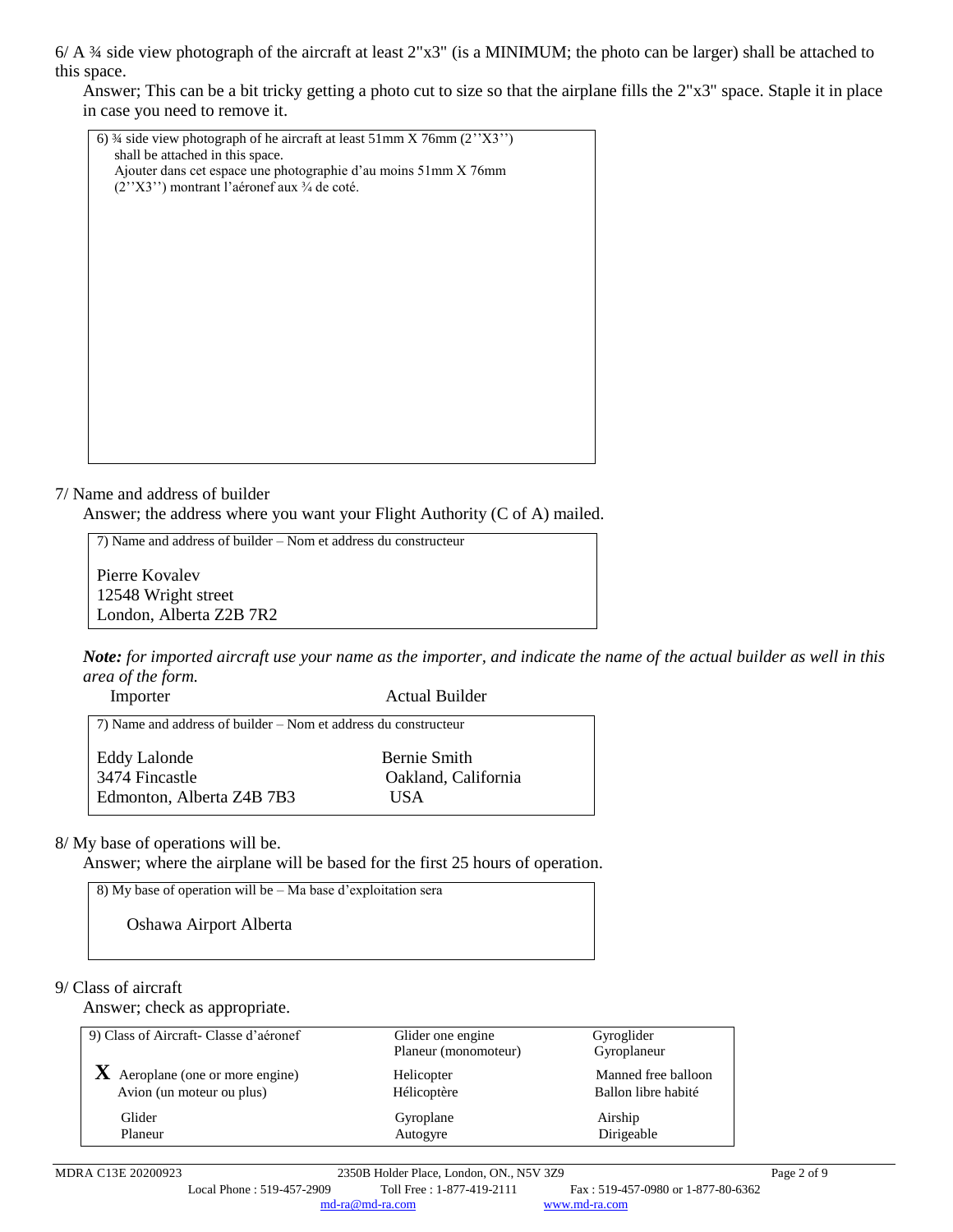6/ A ¾ side view photograph of the aircraft at least 2"x3" (is a MINIMUM; the photo can be larger) shall be attached to this space.

Answer; This can be a bit tricky getting a photo cut to size so that the airplane fills the 2"x3" space. Staple it in place in case you need to remove it.



#### 7/ Name and address of builder

Answer; the address where you want your Flight Authority (C of A) mailed.

7) Name and address of builder – Nom et address du constructeur Pierre Kovalev 12548 Wright street London, Alberta Z2B 7R2

*Note: for imported aircraft use your name as the importer, and indicate the name of the actual builder as well in this area of the form.*

| Importer                                                        | <b>Actual Builder</b> |
|-----------------------------------------------------------------|-----------------------|
| 7) Name and address of builder – Nom et address du constructeur |                       |
| <b>Eddy Lalonde</b>                                             | Bernie Smith          |
| 3474 Fincastle                                                  | Oakland, California   |
| Edmonton, Alberta Z4B 7B3                                       | I IS A                |

8/ My base of operations will be.

Answer; where the airplane will be based for the first 25 hours of operation.

| $\mid$ 8) My base of operation will be $-$ Ma base d'exploitation sera |
|------------------------------------------------------------------------|
| Oshawa Airport Alberta                                                 |

#### 9/ Class of aircraft

Answer; check as appropriate.

| 9) Class of Aircraft-Classe d'aéronef   | Glider one engine<br>Planeur (monomoteur) | Gyroglider<br>Gyroplaneur |
|-----------------------------------------|-------------------------------------------|---------------------------|
| $\bf{X}$ Aeroplane (one or more engine) | Helicopter                                | Manned free balloon       |
| Avion (un moteur ou plus)               | Hélicoptère                               | Ballon libre habité       |
| Glider                                  | Gyroplane                                 | Airship                   |
| Planeur                                 | Autogyre                                  | Dirigeable                |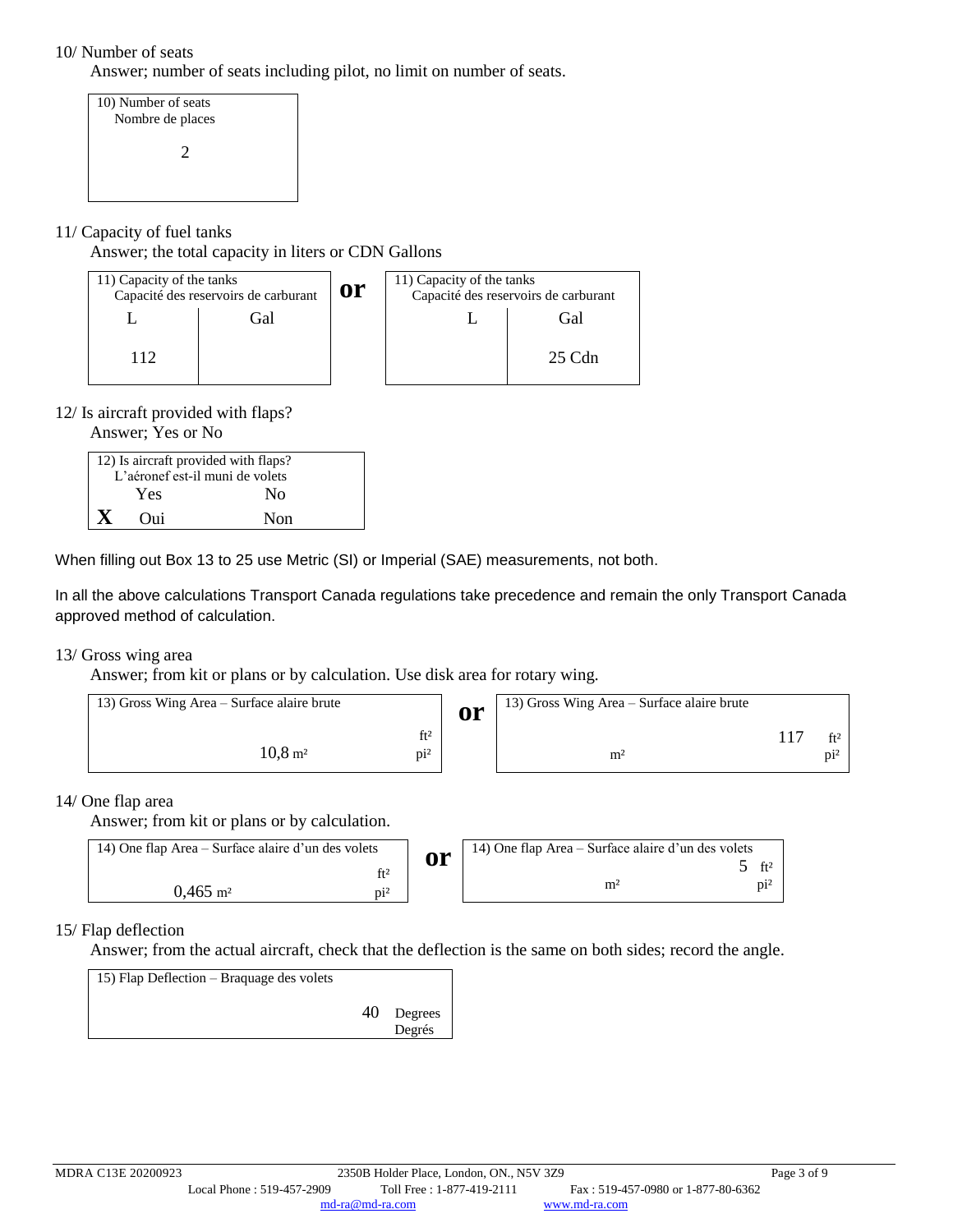# 10/ Number of seats

Answer; number of seats including pilot, no limit on number of seats.

10) Number of seats Nombre de places 2

# 11/ Capacity of fuel tanks

Answer; the total capacity in liters or CDN Gallons

| 11) Capacity of the tanks | Capacité des reservoirs de carburant | <b>or</b> | 11) Capacity of the tanks<br>Capacité des reservoirs de carburant |          |
|---------------------------|--------------------------------------|-----------|-------------------------------------------------------------------|----------|
|                           | t fal                                |           |                                                                   | Gàl)     |
|                           |                                      |           |                                                                   | $25$ Cdn |

### 12/ Is aircraft provided with flaps?

Answer; Yes or No

| 12) Is aircraft provided with flaps? |                                 |  |  |
|--------------------------------------|---------------------------------|--|--|
|                                      | L'aéronef est-il muni de volets |  |  |
| Yes                                  | No                              |  |  |
| Oui                                  | Non                             |  |  |

When filling out Box 13 to 25 use Metric (SI) or Imperial (SAE) measurements, not both.

In all the above calculations Transport Canada regulations take precedence and remain the only Transport Canada approved method of calculation.

#### 13/ Gross wing area

Answer; from kit or plans or by calculation. Use disk area for rotary wing.

| 13) Gross Wing Area – Surface alaire brute  | <b>or</b> | 13) Gross Wing Area – Surface alaire brute |        |
|---------------------------------------------|-----------|--------------------------------------------|--------|
| ft <sup>2</sup>                             |           |                                            | ft2    |
| $10.8 \,\mathrm{m}^2$<br>$\pi$ <sup>2</sup> |           | m <sup>2</sup>                             | $D1^2$ |

#### 14/ One flap area

Answer; from kit or plans or by calculation.

| 14) One flap Area – Surface alaire d'un des volets | or | 14) One flap Area – Surface alaire d'un des volets |             |
|----------------------------------------------------|----|----------------------------------------------------|-------------|
|                                                    |    |                                                    | $f+2$       |
| $0.465$ m <sup>2</sup>                             |    | m <sup>2</sup>                                     | $\rm{Di}^2$ |

# 15/ Flap deflection

Answer; from the actual aircraft, check that the deflection is the same on both sides; record the angle.

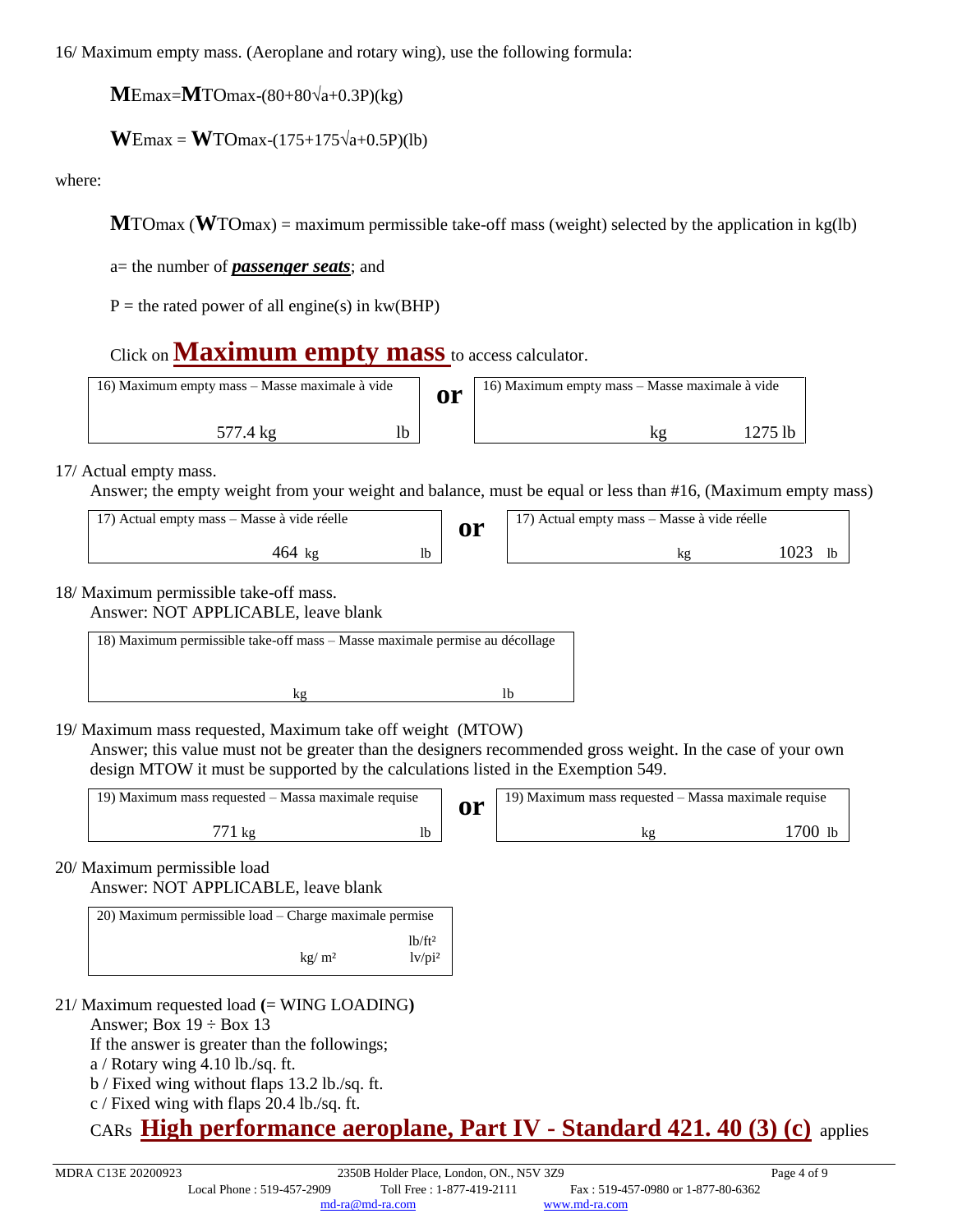16/ Maximum empty mass. (Aeroplane and rotary wing), use the following formula:

**M**Emax=**M**TOmax-(80+80√a+0.3P)(kg)

 $$ 

where:

**M**TOmax (**W**TOmax) = maximum permissible take-off mass (weight) selected by the application in kg(lb)

a= the number of *passenger seats*; and

 $P =$  the rated power of all engine(s) in kw(BHP)

# Click on **[Maximum empty mass](https://md-ra.com/docs/24-0079E_MEM.xlsx)** to access calculator.

| 16) Maximum empty mass – Masse maximale à vide |  | <b>or</b> | 16) Maximum empty mass - Masse maximale à vide |  |  |
|------------------------------------------------|--|-----------|------------------------------------------------|--|--|
| 577.4 kg                                       |  |           |                                                |  |  |

17/ Actual empty mass.

Answer; the empty weight from your weight and balance, must be equal or less than #16, (Maximum empty mass)

| 17) Actual empty mass – Masse à vide réelle | <b>or</b> | 17) Actual empty mass – Masse à vide réelle |      |  |
|---------------------------------------------|-----------|---------------------------------------------|------|--|
| 464 kg                                      |           |                                             | 1023 |  |

# 18/ Maximum permissible take-off mass.

Answer: NOT APPLICABLE, leave blank

| 18) Maximum permissible take-off mass – Masse maximale permise au décollage |    |  |  |  |  |
|-----------------------------------------------------------------------------|----|--|--|--|--|
|                                                                             |    |  |  |  |  |
|                                                                             | lh |  |  |  |  |
|                                                                             |    |  |  |  |  |

19/ Maximum mass requested, Maximum take off weight (MTOW)

Answer; this value must not be greater than the designers recommended gross weight. In the case of your own design MTOW it must be supported by the calculations listed in the Exemption 549.

| 19) Maximum mass requested – Massa maximale requise |  | ЛΉ | 19) Maximum mass requested – Massa maximale requise |     |
|-----------------------------------------------------|--|----|-----------------------------------------------------|-----|
| K٤                                                  |  |    |                                                     | 700 |

20/ Maximum permissible load

Answer: NOT APPLICABLE, leave blank

| 20) Maximum permissible load – Charge maximale permise |                                                  |
|--------------------------------------------------------|--------------------------------------------------|
| kg/m <sup>2</sup>                                      | 1 <sup>b</sup> /ft <sup>2</sup><br>$1v$ / $pi^2$ |

- 21/ Maximum requested load **(**= WING LOADING**)**
	- Answer; Box  $19 \div$  Box 13

If the answer is greater than the followings;

a / Rotary wing 4.10 lb./sq. ft.

- b / Fixed wing without flaps 13.2 lb./sq. ft.
- c / Fixed wing with flaps 20.4 lb./sq. ft.

# CARs **[High performance aeroplane, Part IV -](http://www.md-ra.com/en/docs/high-performance-aeroplane.html) Standard 421. 40 (3) (c)** applies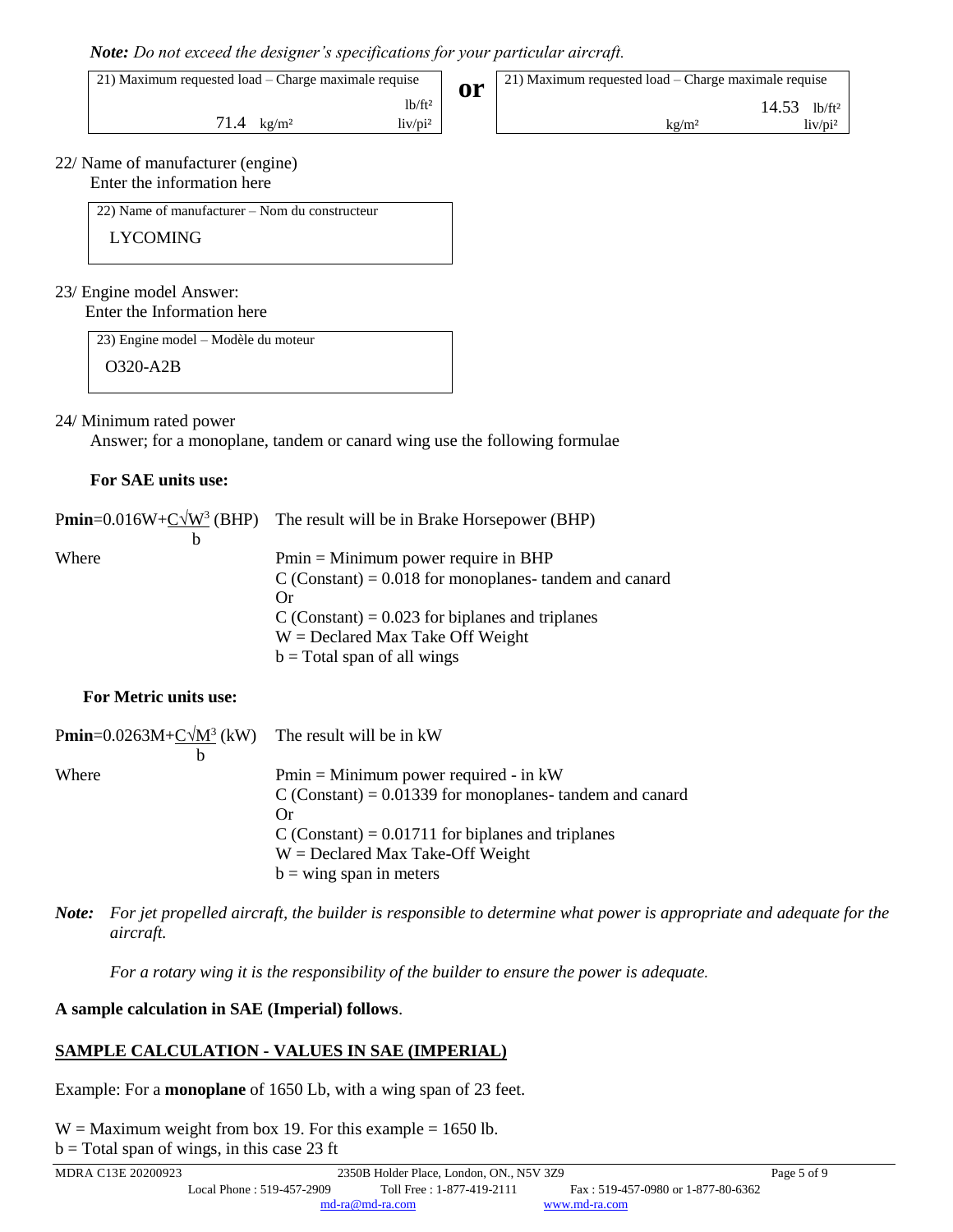|  |  |  |  | Note: Do not exceed the designer's specifications for your particular aircraft. |  |
|--|--|--|--|---------------------------------------------------------------------------------|--|

21) Maximum requested load – Charge maximale requise

 $lb/ft<sup>2</sup>$ 71.4 kg/m<sup>2</sup> liv/pi<sup>2</sup>  **or** 21) Maximum requested load – Charge maximale requise

kg/m² liv/pi²

14.53 lb/ft²

22/ Name of manufacturer (engine) Enter the information here

22) Name of manufacturer – Nom du constructeur

LYCOMING

#### 23/ Engine model Answer: Enter the Information here

23) Engine model – Modèle du moteur

O320-A2B

# 24/ Minimum rated power

Answer; for a monoplane, tandem or canard wing use the following formulae

### **For SAE units use:**

|       | <b>Pmin</b> =0.016W+C $\sqrt{W^3}$ (BHP) The result will be in Brake Horsepower (BHP) |
|-------|---------------------------------------------------------------------------------------|
| b     |                                                                                       |
| Where | $Pmin = Minimum power require in BHP$                                                 |
|       | $C$ (Constant) = 0.018 for monoplanes- tandem and canard                              |
|       | Or                                                                                    |
|       | C (Constant) = $0.023$ for biplanes and triplanes                                     |
|       | $W =$ Declared Max Take Off Weight                                                    |
|       | $b = Total span of all wings$                                                         |

# **For Metric units use:**

| <b>Pmin</b> = $0.0263M + C\sqrt{M^3}$ (kW) The result will be in kW |                                                           |
|---------------------------------------------------------------------|-----------------------------------------------------------|
| b                                                                   |                                                           |
| Where                                                               | $Pmin = Minimum power required - in kW$                   |
|                                                                     | C (Constant) = $0.01339$ for monoplanes-tandem and canard |
|                                                                     | Or                                                        |
|                                                                     | C (Constant) = $0.01711$ for biplanes and triplanes       |
|                                                                     | $W =$ Declared Max Take-Off Weight                        |
|                                                                     | $b =$ wing span in meters                                 |

*Note: For jet propelled aircraft, the builder is responsible to determine what power is appropriate and adequate for the aircraft.*

*For a rotary wing it is the responsibility of the builder to ensure the power is adequate.*

# **A sample calculation in SAE (Imperial) follows**.

# **SAMPLE CALCULATION - VALUES IN SAE (IMPERIAL)**

Example: For a **monoplane** of 1650 Lb, with a wing span of 23 feet.

 $W =$  Maximum weight from box 19. For this example = 1650 lb.

 $b = Total span of wings, in this case 23 ft$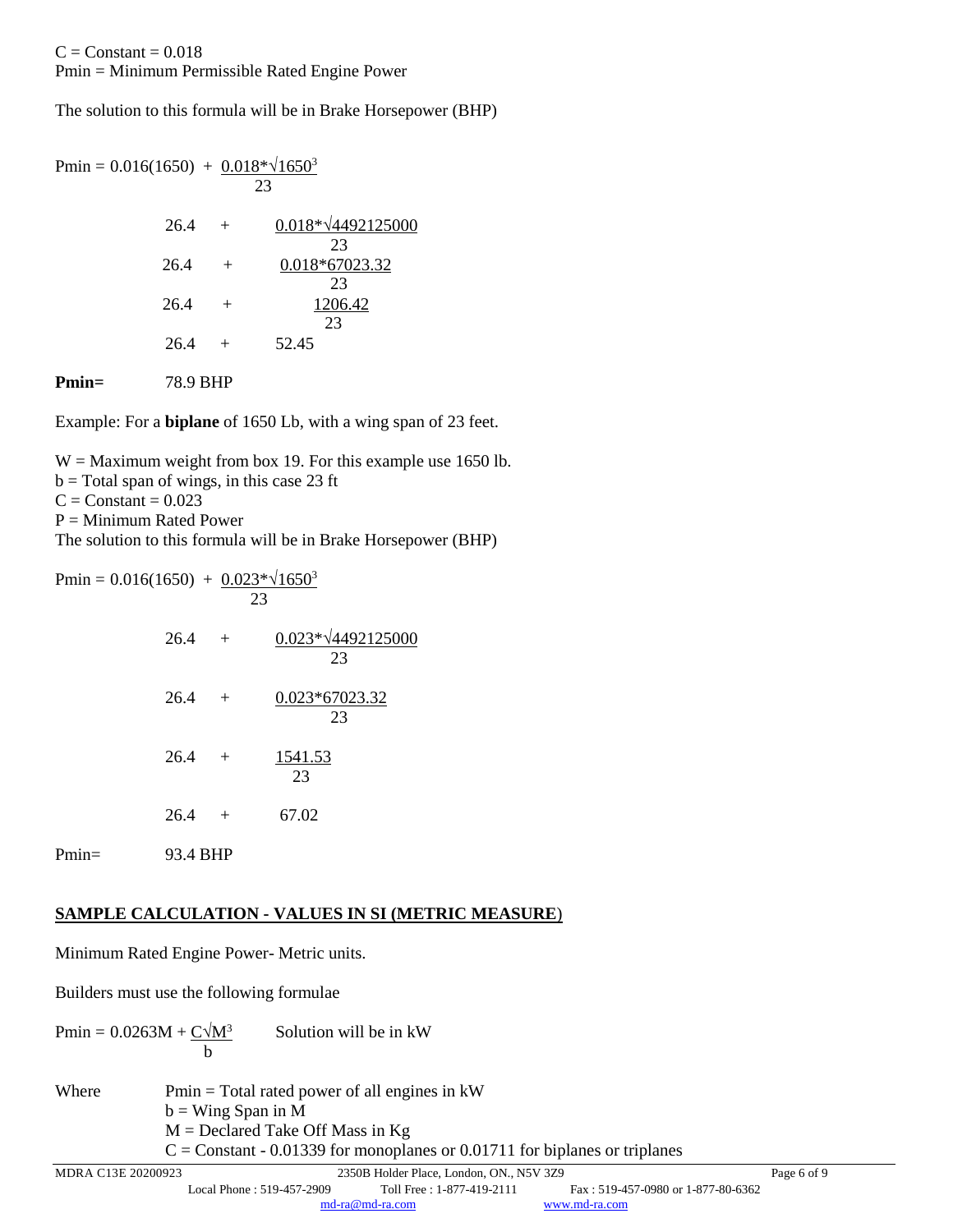The solution to this formula will be in Brake Horsepower (BHP)

| Pmin = $0.016(1650) + 0.018*\sqrt{1650^3}$ | 23             |                                 |
|--------------------------------------------|----------------|---------------------------------|
| 26.4                                       | $+$            | $0.018*\sqrt{4492125000}$<br>23 |
| 26.4                                       | $^{+}$         | 0.018*67023.32<br>23            |
| 26.4                                       | $\overline{+}$ | 1206.42<br>23                   |
| 26.4                                       | $+$            | 52.45                           |
|                                            |                |                                 |

**Pmin=** 78.9 BHP

Example: For a **biplane** of 1650 Lb, with a wing span of 23 feet.

W = Maximum weight from box 19. For this example use 1650 lb.

 $b = Total span of wings, in this case 23 ft$ 

 $C = Constant = 0.023$ 

 $P =$ Minimum Rated Power

The solution to this formula will be in Brake Horsepower (BHP)

| Pmin = $0.016(1650) + 0.023*\sqrt{1650^3}$ |          | 23 |                                 |
|--------------------------------------------|----------|----|---------------------------------|
|                                            | $26.4 +$ |    | $0.023*\sqrt{4492125000}$<br>23 |
|                                            | $26.4 +$ |    | 0.023*67023.32<br>23            |
|                                            | $26.4 +$ |    | 1541.53<br>23                   |
|                                            | $26.4 +$ |    | 67.02                           |
| Pmin=                                      | 93.4 BHP |    |                                 |

# **SAMPLE CALCULATION - VALUES IN SI (METRIC MEASURE**)

Minimum Rated Engine Power- Metric units.

Builders must use the following formulae

Pmin =  $0.0263M + C\sqrt{M^3}$  Solution will be in kW b

Where  $Pmin = Total \, rated \, power \, of \, all \, engines \, in \, kW$  $b =$  Wing Span in M  $M =$  Declared Take Off Mass in Kg  $C =$  Constant - 0.01339 for monoplanes or 0.01711 for biplanes or triplanes

MDRA C13E 20200923 2350B Holder Place, London, ON., N5V 3Z9 Page 6 of 9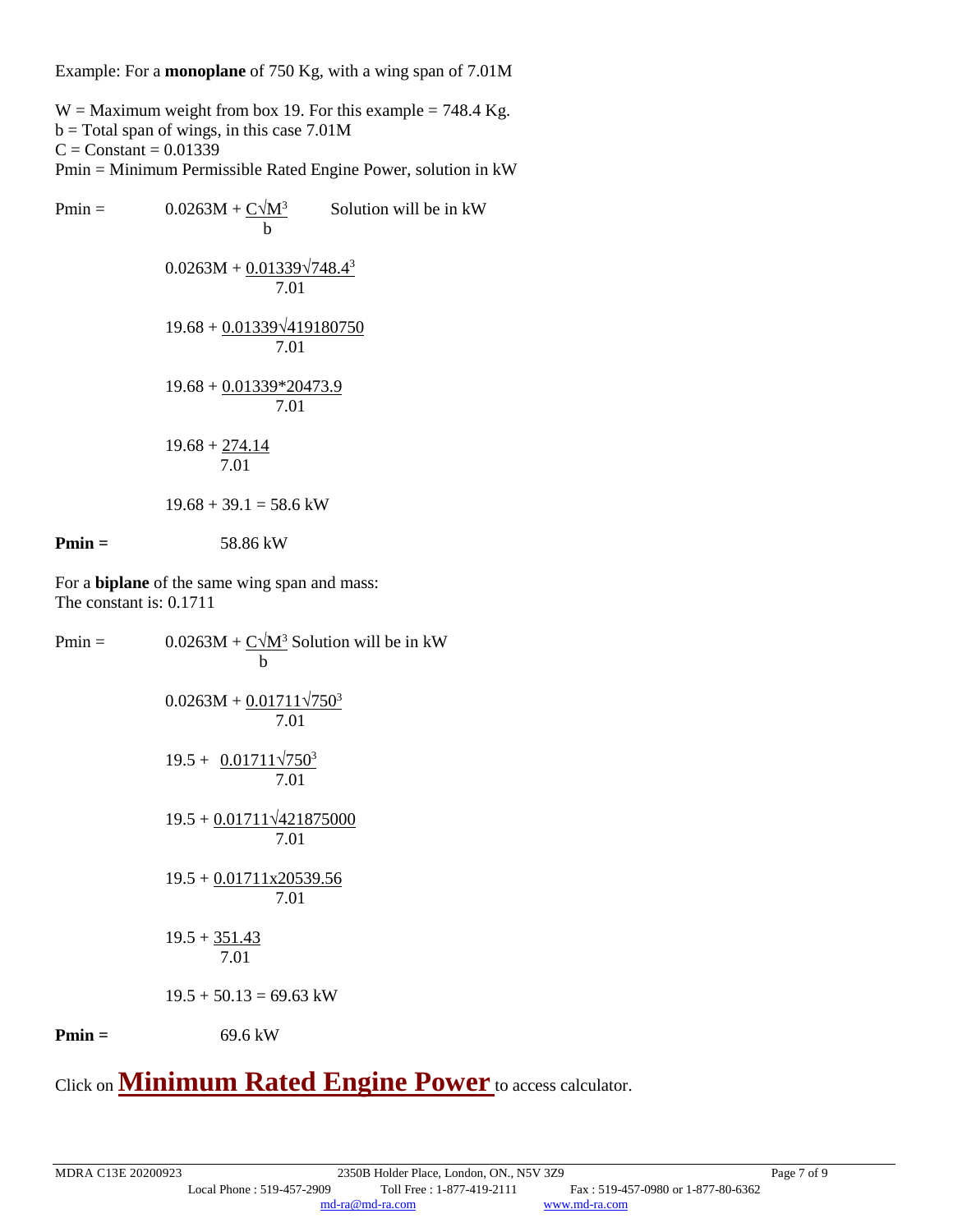Example: For a **monoplane** of 750 Kg, with a wing span of 7.01M

 $W =$  Maximum weight from box 19. For this example = 748.4 Kg.  $b = Total span of wings, in this case 7.01M$  $C = Constant = 0.01339$ Pmin = Minimum Permissible Rated Engine Power, solution in kW

| $Pmin =$ | $0.0263M + C\sqrt{M^3}$<br>b              | Solution will be in kW |
|----------|-------------------------------------------|------------------------|
|          | $0.0263M + 0.01339\sqrt{748.4^3}$<br>7.01 |                        |
|          | $19.68 + 0.01339\sqrt{419180750}$<br>7.01 |                        |
|          | $19.68 + 0.01339*20473.9$<br>7.01         |                        |
|          | $19.68 + 274.14$<br>7.01                  |                        |
|          | $19.68 + 39.1 = 58.6$ kW                  |                        |
| $Pmin =$ | 58.86 kW                                  |                        |
|          |                                           |                        |

For a **biplane** of the same wing span and mass: The constant is: 0.1711

| $0.0263M + C\sqrt{M^3}$ Solution will be in kW<br>b |
|-----------------------------------------------------|
| $0.0263M + 0.01711\sqrt{750^3}$<br>7.01             |
| $19.5 + 0.01711\sqrt{750^3}$<br>7.01                |
| $19.5 + 0.01711\sqrt{421875000}$<br>7.01            |
| $19.5 + 0.01711x20539.56$<br>7.01                   |
| $19.5 + 351.43$<br>7.01                             |
| $19.5 + 50.13 = 69.63$ kW                           |
| 69.6 kW                                             |
|                                                     |

Click on **[Minimum Rated Engine Power](https://md-ra.com/docs/24-0079E_MREP.xlsx)** to access calculator.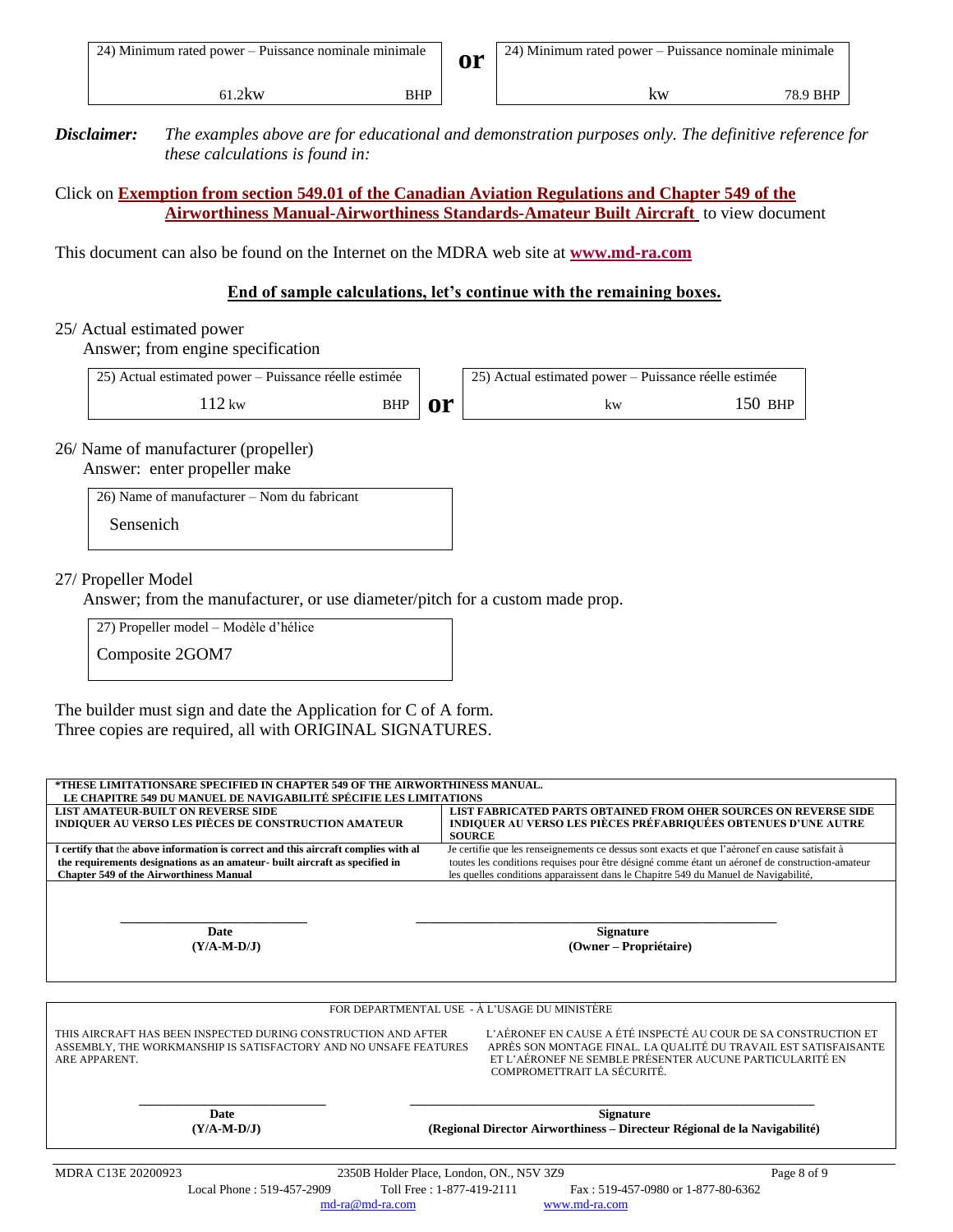*Disclaimer: The examples above are for educational and demonstration purposes only. The definitive reference for these calculations is found in:*

Click on **[Exemption from section 549.01 of the Canadian Aviation Regulations and Chapter 549 of the](https://md-ra.com/en/docs/exemption-from-section-549.01.html) [Airworthiness Manual-Airworthiness Standards-Amateur Built Aircraft](https://md-ra.com/en/docs/exemption-from-section-549.01.html)** to view document

This document can also be found on the Internet on the MDRA web site at **www.md-ra.com**

#### **End of sample calculations, let's continue with the remaining boxes.**

#### 25/ Actual estimated power

Answer; from engine specification

| 25) Actual estimated power – Puissance réelle estimée |     |      | [25] Actual estimated power – Puissance réelle estimée |         |
|-------------------------------------------------------|-----|------|--------------------------------------------------------|---------|
| $2 \text{kw}$                                         | BHP | n or | kw                                                     | 150 bhp |

26/ Name of manufacturer (propeller)

Answer: enter propeller make

26) Name of manufacturer – Nom du fabricant

Sensenich

#### 27/ Propeller Model

Answer; from the manufacturer, or use diameter/pitch for a custom made prop.

27) Propeller model – Modèle d'hélice

Composite 2GOM7

The builder must sign and date the Application for C of A form. Three copies are required, all with ORIGINAL SIGNATURES.

| LIST AMATEUR-BUILT ON REVERSE SIDE<br>INDIQUER AU VERSO LES PIÈCES DE CONSTRUCTION AMATEUR                                                                 | LIST FABRICATED PARTS OBTAINED FROM OHER SOURCES ON REVERSE SIDE<br><b>INDIQUER AU VERSO LES PIÈCES PRÉFABRIQUÉES OBTENUES D'UNE AUTRE</b><br><b>SOURCE</b>                                                                    |
|------------------------------------------------------------------------------------------------------------------------------------------------------------|--------------------------------------------------------------------------------------------------------------------------------------------------------------------------------------------------------------------------------|
| I certify that the above information is correct and this aircraft complies with al                                                                         | Je certifie que les renseignements ce dessus sont exacts et que l'aéronef en cause satisfait à                                                                                                                                 |
| the requirements designations as an amateur- built aircraft as specified in                                                                                | toutes les conditions requises pour être désigné comme étant un aéronef de construction-amateur                                                                                                                                |
| <b>Chapter 549 of the Airworthiness Manual</b>                                                                                                             | les quelles conditions apparaissent dans le Chapitre 549 du Manuel de Navigabilité,                                                                                                                                            |
| <b>Date</b>                                                                                                                                                | <b>Signature</b>                                                                                                                                                                                                               |
| $(Y/A-M-D/J)$                                                                                                                                              | (Owner - Propriétaire)                                                                                                                                                                                                         |
|                                                                                                                                                            | FOR DEPARTMENTAL USE - À L'USAGE DU MINISTÈRE                                                                                                                                                                                  |
| THIS AIRCRAFT HAS BEEN INSPECTED DURING CONSTRUCTION AND AFTER<br>ASSEMBLY, THE WORKMANSHIP IS SATISFACTORY AND NO UNSAFE FEATURES<br><b>ARE APPARENT.</b> | L'AÉRONEF EN CAUSE A ÉTÉ INSPECTÉ AU COUR DE SA CONSTRUCTION ET<br>APRÈS SON MONTAGE FINAL. LA QUALITÉ DU TRAVAIL EST SATISFAISANTE<br>ET L'AÉRONEF NE SEMBLE PRÉSENTER AUCUNE PARTICULARITÉ EN<br>COMPROMETTRAIT LA SÉCURITÉ. |
| Date                                                                                                                                                       | <b>Signature</b>                                                                                                                                                                                                               |
| $(Y/A-M-D/J)$                                                                                                                                              | (Regional Director Airworthiness – Directeur Régional de la Navigabilité)                                                                                                                                                      |

[md-ra@md-ra.com](mailto:md-ra@md-ra.com) [www.md-ra.com](http://www.md-ra.com/)